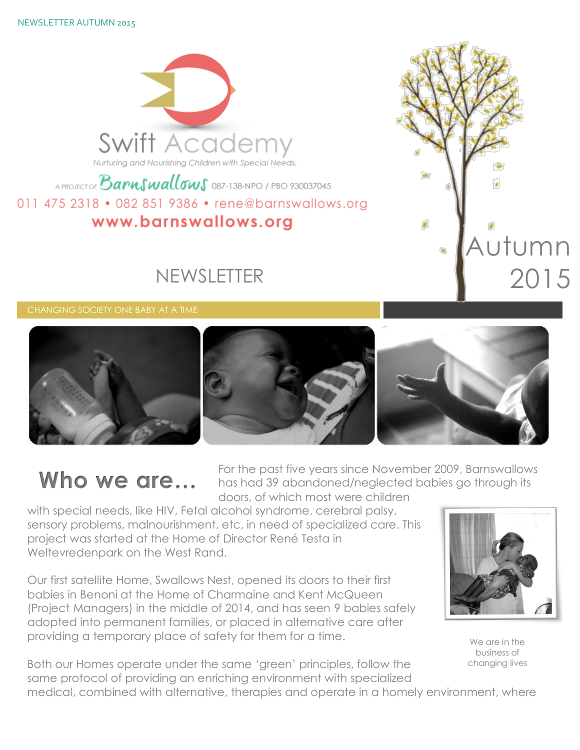NEWSLETTER AUTUMN 2015



## A PROJECT OF **Barnswallows** 087-138-NPO / PBO 930037045 011 475 2318 • 082 851 9386 • rene@barnswallows.org www.barnswallows.org

## NEWSLETTER





# **Who we are…**

For the past five years since November 2009, Barnswallows has had 39 abandoned/neglected babies go through its doors, of which most were children

with special needs, like HIV, Fetal alcohol syndrome, cerebral palsy, sensory problems, malnourishment, etc, in need of specialized care. This project was started at the Home of Director René Testa in Weltevredenpark on the West Rand.

Our first satellite Home, Swallows Nest, opened its doors to their first babies in Benoni at the Home of Charmaine and Kent McQueen (Project Managers) in the middle of 2014, and has seen 9 babies safely adopted into permanent families, or placed in alternative care after providing a temporary place of safety for them for a time.





We are in the business of changing lives

medical, combined with alternative, therapies and operate in a homely environment, where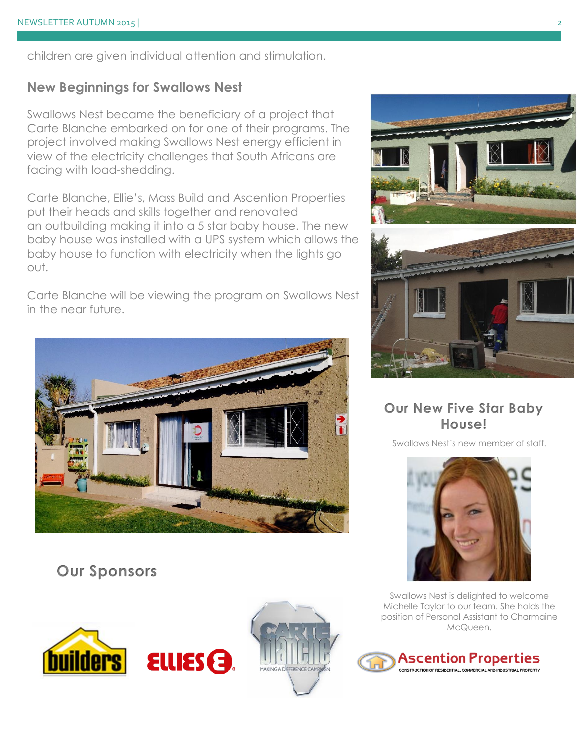children are given individual attention and stimulation.

## **New Beginnings for Swallows Nest**

Swallows Nest became the beneficiary of a project that Carte Blanche embarked on for one of their programs. The project involved making Swallows Nest energy efficient in view of the electricity challenges that South Africans are facing with load-shedding.

Carte Blanche, Ellie's, Mass Build and Ascention Properties put their heads and skills together and renovated an outbuilding making it into a 5 star baby house. The new baby house was installed with a UPS system which allows the baby house to function with electricity when the lights go out.

Carte Blanche will be viewing the program on Swallows Nest in the near future.



## **Our Sponsors**







## **Our New Five Star Baby House!**

Swallows Nest's new member of staff.



Swallows Nest is delighted to welcome Michelle Taylor to our team. She holds the position of Personal Assistant to Charmaine McQueen.

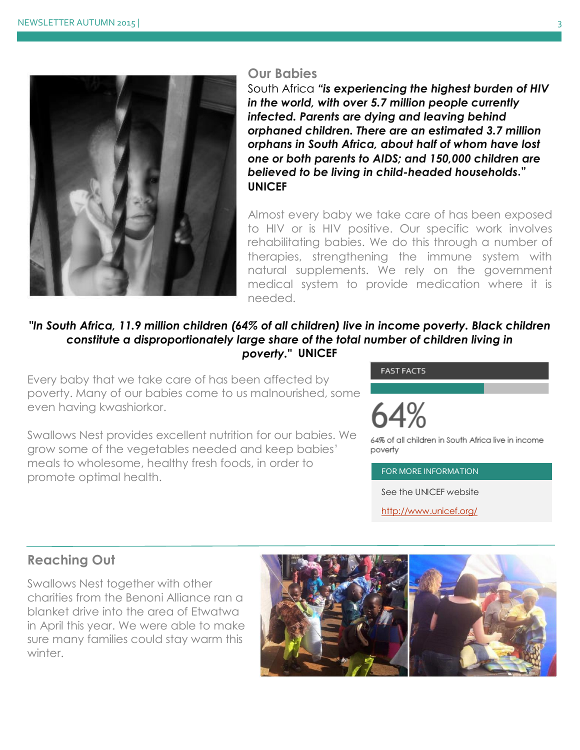

### **Our Babies**

South Africa *"is experiencing the highest burden of HIV in the world, with over 5.7 million people currently infected. Parents are dying and leaving behind orphaned children. There are an estimated 3.7 million orphans in South Africa, about half of whom have lost one or both parents to AIDS; and 150,000 children are believed to be living in child-headed households***." UNICEF**

Almost every baby we take care of has been exposed to HIV or is HIV positive. Our specific work involves rehabilitating babies. We do this through a number of therapies, strengthening the immune system with natural supplements. We rely on the government medical system to provide medication where it is needed.

### *"In South Africa, 11.9 million children (64% of all children) live in income poverty. Black children constitute a disproportionately large share of the total number of children living in poverty."* **UNICEF**

Every baby that we take care of has been affected by poverty. Many of our babies come to us malnourished, some even having kwashiorkor.

Swallows Nest provides excellent nutrition for our babies. We grow some of the vegetables needed and keep babies' meals to wholesome, healthy fresh foods, in order to promote optimal health.

#### **FAST FACTS**

64% of all children in South Africa live in income povertv

FOR MORE INFORMATION

See the UNICEF website

<http://www.unicef.org/>

## **Reaching Out**

Swallows Nest together with other charities from the Benoni Alliance ran a blanket drive into the area of Etwatwa in April this year. We were able to make sure many families could stay warm this winter.

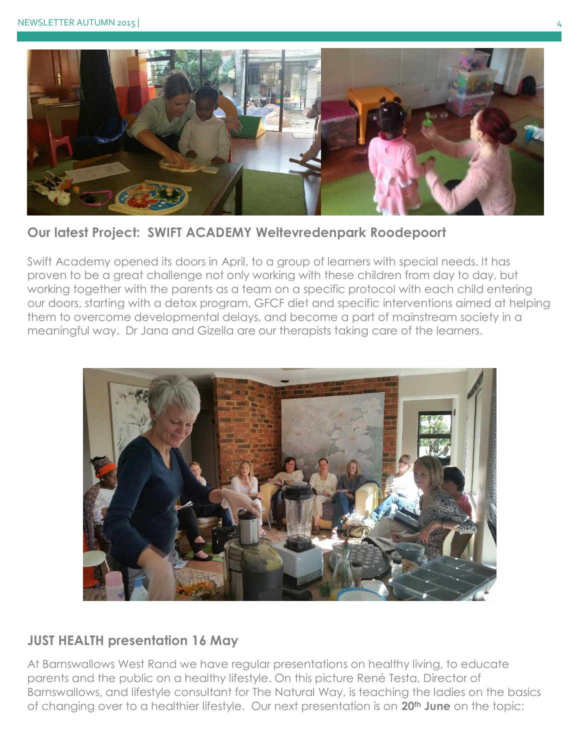

**Our latest Project: SWIFT ACADEMY Weltevredenpark Roodepoort**

Swift Academy opened its doors in April, to a group of learners with special needs. It has proven to be a great challenge not only working with these children from day to day, but working together with the parents as a team on a specific protocol with each child entering our doors, starting with a detox program, GFCF diet and specific interventions aimed at helping them to overcome developmental delays, and become a part of mainstream society in a meaningful way. Dr Jana and Gizella are our therapists taking care of the learners.



## **JUST HEALTH presentation 16 May**

At Barnswallows West Rand we have regular presentations on healthy living, to educate parents and the public on a healthy lifestyle. On this picture René Testa, Director of Barnswallows, and lifestyle consultant for The Natural Way, is teaching the ladies on the basics of changing over to a healthier lifestyle. Our next presentation is on **20th June** on the topic: